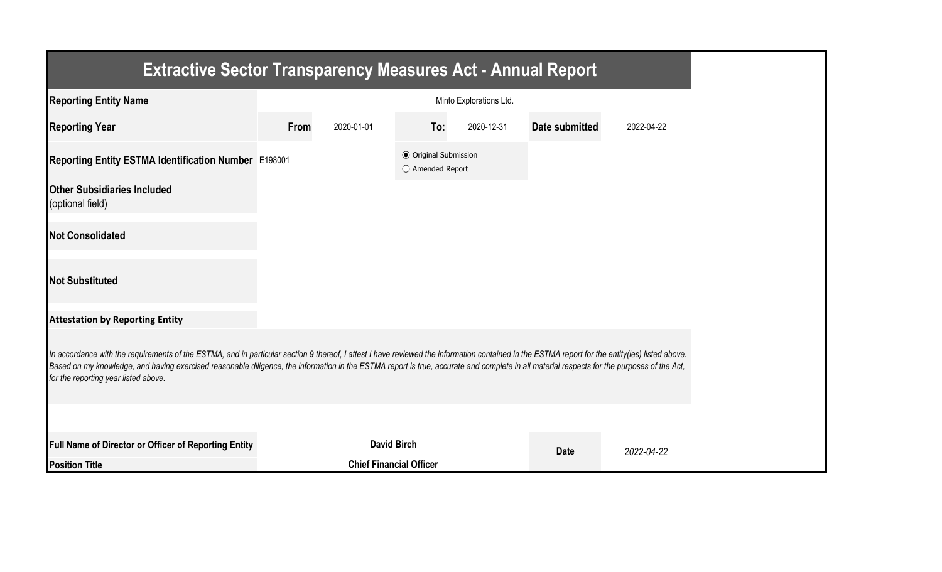| <b>Extractive Sector Transparency Measures Act - Annual Report</b>                                                                                                                                                                                                                                                                                                                                                                    |      |                                |                                                           |                         |                |            |
|---------------------------------------------------------------------------------------------------------------------------------------------------------------------------------------------------------------------------------------------------------------------------------------------------------------------------------------------------------------------------------------------------------------------------------------|------|--------------------------------|-----------------------------------------------------------|-------------------------|----------------|------------|
| <b>Reporting Entity Name</b>                                                                                                                                                                                                                                                                                                                                                                                                          |      |                                |                                                           | Minto Explorations Ltd. |                |            |
| <b>Reporting Year</b>                                                                                                                                                                                                                                                                                                                                                                                                                 | From | 2020-01-01                     | To:                                                       | 2020-12-31              | Date submitted | 2022-04-22 |
| Reporting Entity ESTMA Identification Number E198001                                                                                                                                                                                                                                                                                                                                                                                  |      |                                | <b>● Original Submission</b><br>$\bigcirc$ Amended Report |                         |                |            |
| <b>Other Subsidiaries Included</b><br>(optional field)                                                                                                                                                                                                                                                                                                                                                                                |      |                                |                                                           |                         |                |            |
| <b>Not Consolidated</b>                                                                                                                                                                                                                                                                                                                                                                                                               |      |                                |                                                           |                         |                |            |
| <b>Not Substituted</b>                                                                                                                                                                                                                                                                                                                                                                                                                |      |                                |                                                           |                         |                |            |
| <b>Attestation by Reporting Entity</b>                                                                                                                                                                                                                                                                                                                                                                                                |      |                                |                                                           |                         |                |            |
| In accordance with the requirements of the ESTMA, and in particular section 9 thereof, I attest I have reviewed the information contained in the ESTMA report for the entity(ies) listed above.<br>Based on my knowledge, and having exercised reasonable diligence, the information in the ESTMA report is true, accurate and complete in all material respects for the purposes of the Act,<br>for the reporting year listed above. |      |                                |                                                           |                         |                |            |
|                                                                                                                                                                                                                                                                                                                                                                                                                                       |      |                                |                                                           |                         |                |            |
| Full Name of Director or Officer of Reporting Entity                                                                                                                                                                                                                                                                                                                                                                                  |      | <b>David Birch</b>             |                                                           |                         | <b>Date</b>    | 2022-04-22 |
| <b>Position Title</b>                                                                                                                                                                                                                                                                                                                                                                                                                 |      | <b>Chief Financial Officer</b> |                                                           |                         |                |            |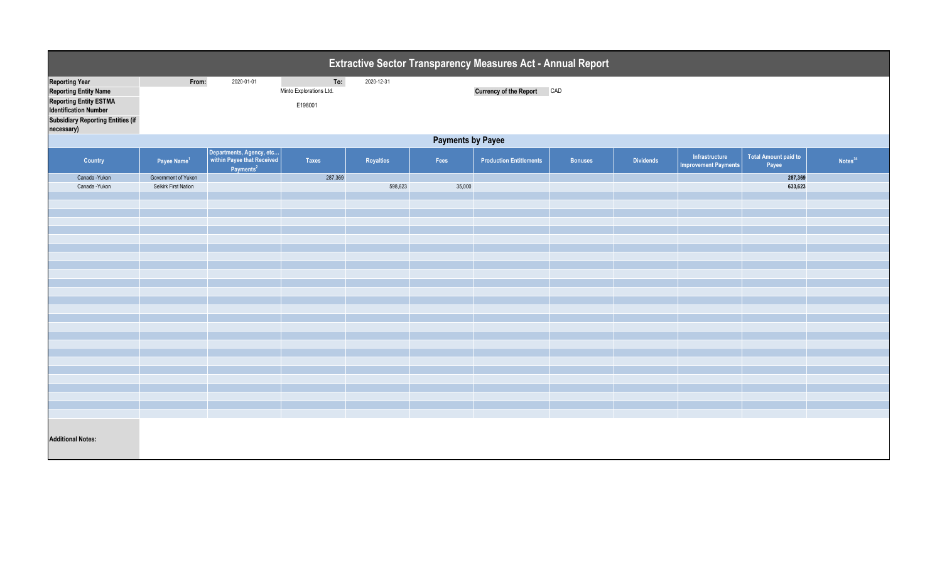| Extractive Sector Transparency Measures Act - Annual Report                                                                                                                      |                          |                                                                                 |                                           |            |        |                                |                |                  |                                               |                                      |                     |  |
|----------------------------------------------------------------------------------------------------------------------------------------------------------------------------------|--------------------------|---------------------------------------------------------------------------------|-------------------------------------------|------------|--------|--------------------------------|----------------|------------------|-----------------------------------------------|--------------------------------------|---------------------|--|
| <b>Reporting Year</b><br><b>Reporting Entity Name</b><br><b>Reporting Entity ESTMA</b><br><b>Identification Number</b><br><b>Subsidiary Reporting Entities (if</b><br>necessary) | From:                    | 2020-01-01                                                                      | To:<br>Minto Explorations Ltd.<br>E198001 | 2020-12-31 |        | Currency of the Report CAD     |                |                  |                                               |                                      |                     |  |
|                                                                                                                                                                                  | <b>Payments by Payee</b> |                                                                                 |                                           |            |        |                                |                |                  |                                               |                                      |                     |  |
| Country                                                                                                                                                                          | Payee Name <sup>1</sup>  | Departments, Agency, etc<br>within Payee that Received<br>Payments <sup>2</sup> | Taxes                                     | Royalties  | Fees   | <b>Production Entitlements</b> | <b>Bonuses</b> | <b>Dividends</b> | Infrastructure<br><b>Improvement Payments</b> | <b>Total Amount paid to</b><br>Payee | Notes <sup>34</sup> |  |
| Canada - Yukon                                                                                                                                                                   | Government of Yukon      |                                                                                 | 287,369                                   |            |        |                                |                |                  |                                               | 287,369                              |                     |  |
| Canada - Yukon                                                                                                                                                                   | Selkirk First Nation     |                                                                                 |                                           | 598,623    | 35,000 |                                |                |                  |                                               | 633,623                              |                     |  |
|                                                                                                                                                                                  |                          |                                                                                 |                                           |            |        |                                |                |                  |                                               |                                      |                     |  |
|                                                                                                                                                                                  |                          |                                                                                 |                                           |            |        |                                |                |                  |                                               |                                      |                     |  |
|                                                                                                                                                                                  |                          |                                                                                 |                                           |            |        |                                |                |                  |                                               |                                      |                     |  |
|                                                                                                                                                                                  |                          |                                                                                 |                                           |            |        |                                |                |                  |                                               |                                      |                     |  |
|                                                                                                                                                                                  |                          |                                                                                 |                                           |            |        |                                |                |                  |                                               |                                      |                     |  |
|                                                                                                                                                                                  |                          |                                                                                 |                                           |            |        |                                |                |                  |                                               |                                      |                     |  |
|                                                                                                                                                                                  |                          |                                                                                 |                                           |            |        |                                |                |                  |                                               |                                      |                     |  |
|                                                                                                                                                                                  |                          |                                                                                 |                                           |            |        |                                |                |                  |                                               |                                      |                     |  |
|                                                                                                                                                                                  |                          |                                                                                 |                                           |            |        |                                |                |                  |                                               |                                      |                     |  |
|                                                                                                                                                                                  |                          |                                                                                 |                                           |            |        |                                |                |                  |                                               |                                      |                     |  |
|                                                                                                                                                                                  |                          |                                                                                 |                                           |            |        |                                |                |                  |                                               |                                      |                     |  |
|                                                                                                                                                                                  |                          |                                                                                 |                                           |            |        |                                |                |                  |                                               |                                      |                     |  |
|                                                                                                                                                                                  |                          |                                                                                 |                                           |            |        |                                |                |                  |                                               |                                      |                     |  |
|                                                                                                                                                                                  |                          |                                                                                 |                                           |            |        |                                |                |                  |                                               |                                      |                     |  |
|                                                                                                                                                                                  |                          |                                                                                 |                                           |            |        |                                |                |                  |                                               |                                      |                     |  |
|                                                                                                                                                                                  |                          |                                                                                 |                                           |            |        |                                |                |                  |                                               |                                      |                     |  |
|                                                                                                                                                                                  |                          |                                                                                 |                                           |            |        |                                |                |                  |                                               |                                      |                     |  |
|                                                                                                                                                                                  |                          |                                                                                 |                                           |            |        |                                |                |                  |                                               |                                      |                     |  |
|                                                                                                                                                                                  |                          |                                                                                 |                                           |            |        |                                |                |                  |                                               |                                      |                     |  |
|                                                                                                                                                                                  |                          |                                                                                 |                                           |            |        |                                |                |                  |                                               |                                      |                     |  |
| <b>Additional Notes:</b>                                                                                                                                                         |                          |                                                                                 |                                           |            |        |                                |                |                  |                                               |                                      |                     |  |